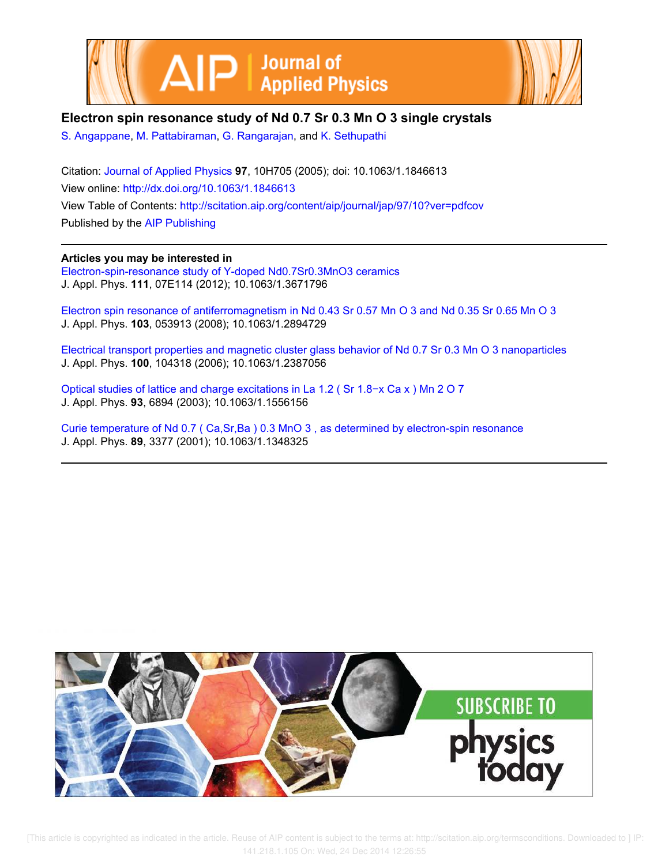



# **Electron spin resonance study of Nd 0.7 Sr 0.3 Mn O 3 single crystals**

S. Angappane, M. Pattabiraman, G. Rangarajan, and K. Sethupathi

Citation: Journal of Applied Physics **97**, 10H705 (2005); doi: 10.1063/1.1846613 View online: http://dx.doi.org/10.1063/1.1846613 View Table of Contents: http://scitation.aip.org/content/aip/journal/jap/97/10?ver=pdfcov Published by the AIP Publishing

## **Articles you may be interested in**

Electron-spin-resonance study of Y-doped Nd0.7Sr0.3MnO3 ceramics J. Appl. Phys. **111**, 07E114 (2012); 10.1063/1.3671796

Electron spin resonance of antiferromagnetism in Nd 0.43 Sr 0.57 Mn O 3 and Nd 0.35 Sr 0.65 Mn O 3 J. Appl. Phys. **103**, 053913 (2008); 10.1063/1.2894729

Electrical transport properties and magnetic cluster glass behavior of Nd 0.7 Sr 0.3 Mn O 3 nanoparticles J. Appl. Phys. **100**, 104318 (2006); 10.1063/1.2387056

Optical studies of lattice and charge excitations in La 1.2 ( Sr 1.8−x Ca x ) Mn 2 O 7 J. Appl. Phys. **93**, 6894 (2003); 10.1063/1.1556156

Curie temperature of Nd 0.7 ( Ca,Sr,Ba ) 0.3 MnO 3 , as determined by electron-spin resonance J. Appl. Phys. **89**, 3377 (2001); 10.1063/1.1348325



 [This article is copyrighted as indicated in the article. Reuse of AIP content is subject to the terms at: http://scitation.aip.org/termsconditions. Downloaded to ] IP: 141.218.1.105 On: Wed, 24 Dec 2014 12:26:55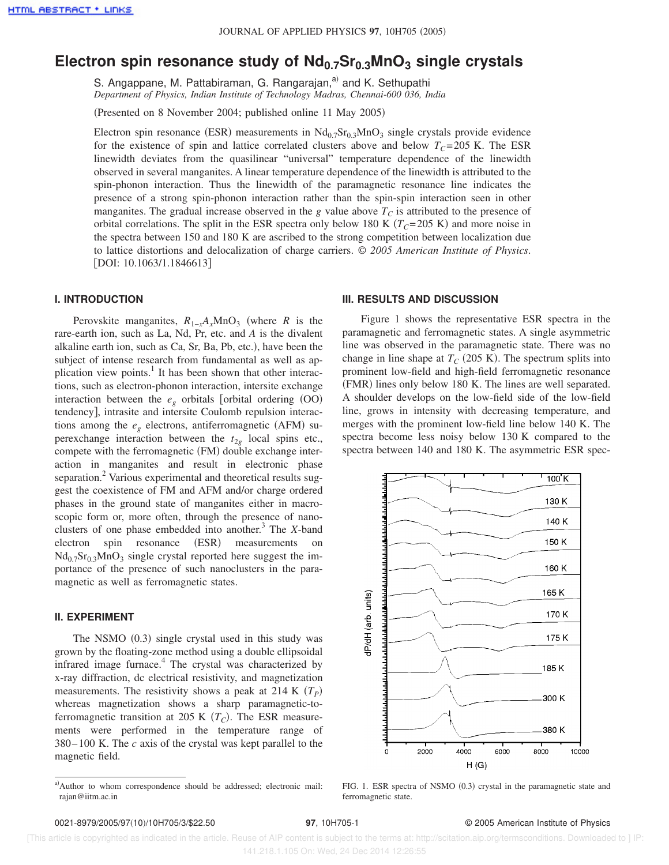# **Electron spin resonance study of Nd0.7Sr0.3MnO<sup>3</sup> single crystals**

S. Angappane, M. Pattabiraman, G. Rangarajan,<sup>a)</sup> and K. Sethupathi *Department of Physics, Indian Institute of Technology Madras, Chennai-600 036, India*

(Presented on 8 November 2004; published online 11 May 2005)

Electron spin resonance (ESR) measurements in  $Nd_{0.7}Sr_{0.3}MnO_3$  single crystals provide evidence for the existence of spin and lattice correlated clusters above and below  $T<sub>C</sub>=205$  K. The ESR linewidth deviates from the quasilinear "universal" temperature dependence of the linewidth observed in several manganites. A linear temperature dependence of the linewidth is attributed to the spin-phonon interaction. Thus the linewidth of the paramagnetic resonance line indicates the presence of a strong spin-phonon interaction rather than the spin-spin interaction seen in other manganites. The gradual increase observed in the *g* value above  $T_C$  is attributed to the presence of orbital correlations. The split in the ESR spectra only below 180 K  $(T<sub>C</sub>=205 \text{ K})$  and more noise in the spectra between 150 and 180 K are ascribed to the strong competition between localization due to lattice distortions and delocalization of charge carriers. © *2005 American Institute of Physics*. [DOI: 10.1063/1.1846613]

### **I. INTRODUCTION**

Perovskite manganites,  $R_{1-x}A_xMnO_3$  (where *R* is the rare-earth ion, such as La, Nd, Pr, etc. and *A* is the divalent alkaline earth ion, such as  $Ca, Sr, Ba, Pb, etc.),$  have been the subject of intense research from fundamental as well as application view points.<sup>1</sup> It has been shown that other interactions, such as electron-phonon interaction, intersite exchange interaction between the  $e_g$  orbitals [orbital ordering  $(OO)$ tendency], intrasite and intersite Coulomb repulsion interactions among the  $e_g$  electrons, antiferromagnetic (AFM) superexchange interaction between the  $t_{2g}$  local spins etc., compete with the ferromagnetic (FM) double exchange interaction in manganites and result in electronic phase separation.<sup>2</sup> Various experimental and theoretical results suggest the coexistence of FM and AFM and/or charge ordered phases in the ground state of manganites either in macroscopic form or, more often, through the presence of nanoclusters of one phase embedded into another.<sup>3</sup> The *X*-band electron spin resonance (ESR) measurements on  $Nd_{0.7}Sr_{0.3}MnO_3$  single crystal reported here suggest the importance of the presence of such nanoclusters in the paramagnetic as well as ferromagnetic states.

### **II. EXPERIMENT**

The NSMO  $(0.3)$  single crystal used in this study was grown by the floating-zone method using a double ellipsoidal infrared image furnace.<sup>4</sup> The crystal was characterized by x-ray diffraction, dc electrical resistivity, and magnetization measurements. The resistivity shows a peak at 214 K  $(T_P)$ whereas magnetization shows a sharp paramagnetic-toferromagnetic transition at 205 K  $(T_C)$ . The ESR measurements were performed in the temperature range of 380–100 K. The *c* axis of the crystal was kept parallel to the magnetic field.

#### **III. RESULTS AND DISCUSSION**

Figure 1 shows the representative ESR spectra in the paramagnetic and ferromagnetic states. A single asymmetric line was observed in the paramagnetic state. There was no change in line shape at  $T_C$  (205 K). The spectrum splits into prominent low-field and high-field ferromagnetic resonance (FMR) lines only below 180 K. The lines are well separated. A shoulder develops on the low-field side of the low-field line, grows in intensity with decreasing temperature, and merges with the prominent low-field line below 140 K. The spectra become less noisy below 130 K compared to the spectra between 140 and 180 K. The asymmetric ESR spec-



FIG. 1. ESR spectra of NSMO (0.3) crystal in the paramagnetic state and ferromagnetic state.

 [This article is copyrighted as indicated in the article. Reuse of AIP content is subject to the terms at: http://scitation.aip.org/termsconditions. Downloaded to ] IP: 141.218.1.105 On: Wed, 24 Dec 2014 12:26:55

a)Author to whom correspondence should be addressed; electronic mail: rajan@iitm.ac.in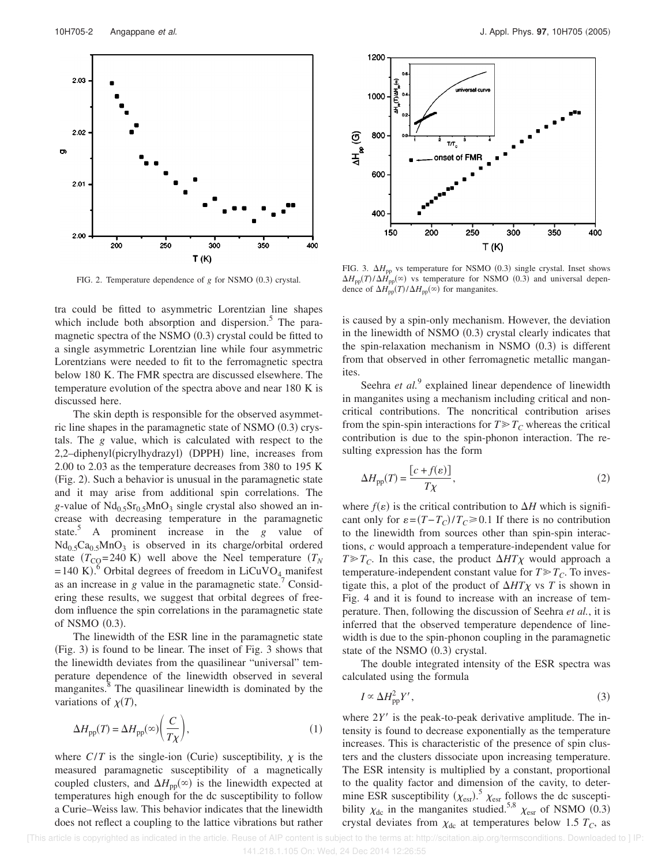

FIG. 2. Temperature dependence of  $g$  for NSMO  $(0.3)$  crystal.

tra could be fitted to asymmetric Lorentzian line shapes which include both absorption and dispersion.<sup>5</sup> The paramagnetic spectra of the NSMO  $(0.3)$  crystal could be fitted to a single asymmetric Lorentzian line while four asymmetric Lorentzians were needed to fit to the ferromagnetic spectra below 180 K. The FMR spectra are discussed elsewhere. The temperature evolution of the spectra above and near 180 K is discussed here.

The skin depth is responsible for the observed asymmetric line shapes in the paramagnetic state of NSMO  $(0.3)$  crystals. The *g* value, which is calculated with respect to the 2,2-diphenyl(picrylhydrazyl) (DPPH) line, increases from 2.00 to 2.03 as the temperature decreases from 380 to 195 K  $(Fig. 2)$ . Such a behavior is unusual in the paramagnetic state and it may arise from additional spin correlations. The  $g$ -value of  $Nd<sub>0.5</sub>Sr<sub>0.5</sub>MnO<sub>3</sub>$  single crystal also showed an increase with decreasing temperature in the paramagnetic state.<sup>3</sup> A prominent increase in the *g* value of  $Nd_{0.5}Ca_{0.5}MnO_3$  is observed in its charge/orbital ordered state  $(T_{\text{CO}}=240 \text{ K})$  well above the Neel temperature  $(T_N)$ =140 K).<sup>6</sup> Orbital degrees of freedom in LiCuVO<sub>4</sub> manifest as an increase in *g* value in the paramagnetic state.<sup>7</sup> Considering these results, we suggest that orbital degrees of freedom influence the spin correlations in the paramagnetic state of NSMO  $(0.3)$ .

The linewidth of the ESR line in the paramagnetic state  $(Fig. 3)$  is found to be linear. The inset of Fig. 3 shows that the linewidth deviates from the quasilinear "universal" temperature dependence of the linewidth observed in several manganites.<sup>8</sup> The quasilinear linewidth is dominated by the variations of  $\chi(T)$ ,

$$
\Delta H_{\rm pp}(T) = \Delta H_{\rm pp}(\infty) \left(\frac{C}{T\chi}\right),\tag{1}
$$

where  $C/T$  is the single-ion (Curie) susceptibility,  $\chi$  is the measured paramagnetic susceptibility of a magnetically coupled clusters, and  $\Delta H_{\text{pp}}(\infty)$  is the linewidth expected at temperatures high enough for the dc susceptibility to follow a Curie–Weiss law. This behavior indicates that the linewidth does not reflect a coupling to the lattice vibrations but rather



FIG. 3.  $\Delta H_{\text{pp}}$  vs temperature for NSMO (0.3) single crystal. Inset shows  $\Delta H_{\text{pp}}(T)/\Delta H_{\text{pp}}(\infty)$  vs temperature for NSMO (0.3) and universal dependence of  $\Delta H_{\text{pp}}(T)/\Delta H_{\text{pp}}(\infty)$  for manganites.

is caused by a spin-only mechanism. However, the deviation in the linewidth of NSMO  $(0.3)$  crystal clearly indicates that the spin-relaxation mechanism in NSMO  $(0.3)$  is different from that observed in other ferromagnetic metallic manganites.

Seehra et al.<sup>9</sup> explained linear dependence of linewidth in manganites using a mechanism including critical and noncritical contributions. The noncritical contribution arises from the spin-spin interactions for  $T \geq T_C$  whereas the critical contribution is due to the spin-phonon interaction. The resulting expression has the form

$$
\Delta H_{\rm pp}(T) = \frac{\left[c + f(\varepsilon)\right]}{T\chi},\tag{2}
$$

where  $f(\varepsilon)$  is the critical contribution to  $\Delta H$  which is significant only for  $\varepsilon = (T - T_C)/T_C \ge 0.1$  If there is no contribution to the linewidth from sources other than spin-spin interactions, *c* would approach a temperature-independent value for  $T \gg T_c$ . In this case, the product  $\Delta HT\chi$  would approach a temperature-independent constant value for  $T \gg T_C$ . To investigate this, a plot of the product of  $\Delta HTX$  vs *T* is shown in Fig. 4 and it is found to increase with an increase of temperature. Then, following the discussion of Seehra *et al.*, it is inferred that the observed temperature dependence of linewidth is due to the spin-phonon coupling in the paramagnetic state of the NSMO  $(0.3)$  crystal.

The double integrated intensity of the ESR spectra was calculated using the formula

$$
I \propto \Delta H_{\rm pp}^2 Y',\tag{3}
$$

where  $2Y'$  is the peak-to-peak derivative amplitude. The intensity is found to decrease exponentially as the temperature increases. This is characteristic of the presence of spin clusters and the clusters dissociate upon increasing temperature. The ESR intensity is multiplied by a constant, proportional to the quality factor and dimension of the cavity, to determine ESR susceptibility  $(\chi_{\text{est}})^5$ .  $\chi_{\text{est}}$  follows the dc susceptibility  $\chi_{dc}$  in the manganites studied.<sup>5,8</sup>  $\chi_{est}$  of NSMO (0.3) crystal deviates from  $\chi_{dc}$  at temperatures below 1.5  $T_C$ , as